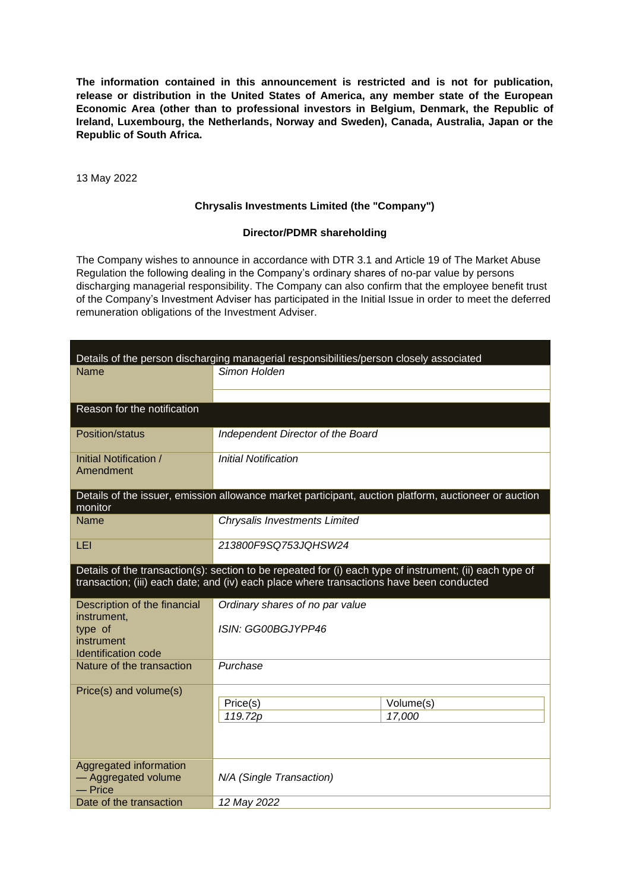**The information contained in this announcement is restricted and is not for publication, release or distribution in the United States of America, any member state of the European Economic Area (other than to professional investors in Belgium, Denmark, the Republic of Ireland, Luxembourg, the Netherlands, Norway and Sweden), Canada, Australia, Japan or the Republic of South Africa.**

13 May 2022

## **Chrysalis Investments Limited (the "Company")**

## **Director/PDMR shareholding**

The Company wishes to announce in accordance with DTR 3.1 and Article 19 of The Market Abuse Regulation the following dealing in the Company's ordinary shares of no-par value by persons discharging managerial responsibility. The Company can also confirm that the employee benefit trust of the Company's Investment Adviser has participated in the Initial Issue in order to meet the deferred remuneration obligations of the Investment Adviser.

| Details of the person discharging managerial responsibilities/person closely associated                                                                                                              |                                                                                                       |  |  |
|------------------------------------------------------------------------------------------------------------------------------------------------------------------------------------------------------|-------------------------------------------------------------------------------------------------------|--|--|
| Name                                                                                                                                                                                                 | Simon Holden                                                                                          |  |  |
|                                                                                                                                                                                                      |                                                                                                       |  |  |
| Reason for the notification                                                                                                                                                                          |                                                                                                       |  |  |
| Position/status                                                                                                                                                                                      | Independent Director of the Board                                                                     |  |  |
| Initial Notification /<br>Amendment                                                                                                                                                                  | <b>Initial Notification</b>                                                                           |  |  |
| monitor                                                                                                                                                                                              | Details of the issuer, emission allowance market participant, auction platform, auctioneer or auction |  |  |
| <b>Name</b>                                                                                                                                                                                          | Chrysalis Investments Limited                                                                         |  |  |
| LEI                                                                                                                                                                                                  | 213800F9SQ753JQHSW24                                                                                  |  |  |
| Details of the transaction(s): section to be repeated for (i) each type of instrument; (ii) each type of<br>transaction; (iii) each date; and (iv) each place where transactions have been conducted |                                                                                                       |  |  |
| Description of the financial<br>instrument,                                                                                                                                                          | Ordinary shares of no par value                                                                       |  |  |
| type of                                                                                                                                                                                              | ISIN: GG00BGJYPP46                                                                                    |  |  |
| instrument<br><b>Identification code</b>                                                                                                                                                             |                                                                                                       |  |  |
| Nature of the transaction                                                                                                                                                                            | Purchase                                                                                              |  |  |
| Price(s) and volume(s)                                                                                                                                                                               |                                                                                                       |  |  |
|                                                                                                                                                                                                      | Price(s)<br>Volume(s)<br>119.72p<br>17,000                                                            |  |  |
|                                                                                                                                                                                                      |                                                                                                       |  |  |
| Aggregated information<br>- Aggregated volume<br>— Price                                                                                                                                             | N/A (Single Transaction)                                                                              |  |  |
| Date of the transaction                                                                                                                                                                              | 12 May 2022                                                                                           |  |  |